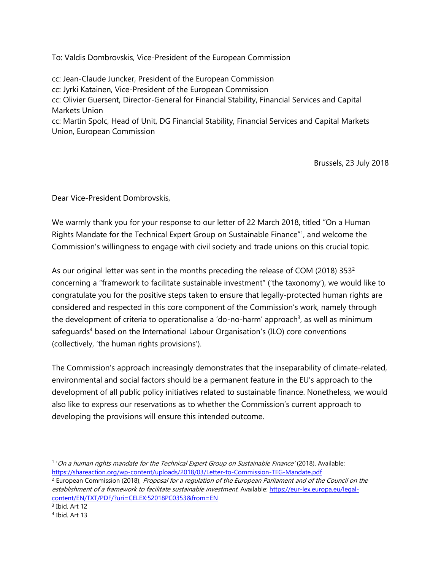To: Valdis Dombrovskis, Vice-President of the European Commission

cc: Jean-Claude Juncker, President of the European Commission cc: Jyrki Katainen, Vice-President of the European Commission cc: Olivier Guersent, Director-General for Financial Stability, Financial Services and Capital Markets Union cc: Martin Spolc, Head of Unit, DG Financial Stability, Financial Services and Capital Markets Union, European Commission

Brussels, 23 July 2018

Dear Vice-President Dombrovskis,

We warmly thank you for your response to our letter of 22 March 2018, titled "On a Human Rights Mandate for the Technical Expert Group on Sustainable Finance"<sup>1</sup>, and welcome the Commission's willingness to engage with civil society and trade unions on this crucial topic.

As our original letter was sent in the months preceding the release of COM (2018) 353 $2$ concerning a "framework to facilitate sustainable investment" ('the taxonomy'), we would like to congratulate you for the positive steps taken to ensure that legally-protected human rights are considered and respected in this core component of the Commission's work, namely through the development of criteria to operationalise a 'do-no-harm' approach<sup>3</sup>, as well as minimum safeguards<sup>4</sup> based on the International Labour Organisation's (ILO) core conventions (collectively, 'the human rights provisions').

The Commission's approach increasingly demonstrates that the inseparability of climate-related, environmental and social factors should be a permanent feature in the EU's approach to the development of all public policy initiatives related to sustainable finance. Nonetheless, we would also like to express our reservations as to whether the Commission's current approach to developing the provisions will ensure this intended outcome.

<sup>&</sup>lt;sup>1</sup>'On a human rights mandate for the Technical Expert Group on Sustainable Finance' (2018). Available: <https://shareaction.org/wp-content/uploads/2018/03/Letter-to-Commission-TEG-Mandate.pdf>

<sup>&</sup>lt;sup>2</sup> European Commission (2018), *Proposal for a regulation of the European Parliament and of the Council on the* establishment of a framework to facilitate sustainable investment. Available: [https://eur-lex.europa.eu/legal](https://eur-lex.europa.eu/legal-content/EN/TXT/PDF/?uri=CELEX:52018PC0353&from=EN)[content/EN/TXT/PDF/?uri=CELEX:52018PC0353&from=EN](https://eur-lex.europa.eu/legal-content/EN/TXT/PDF/?uri=CELEX:52018PC0353&from=EN)

<sup>&</sup>lt;sup>3</sup> Ibid. Art 12

<sup>4</sup> Ibid. Art 13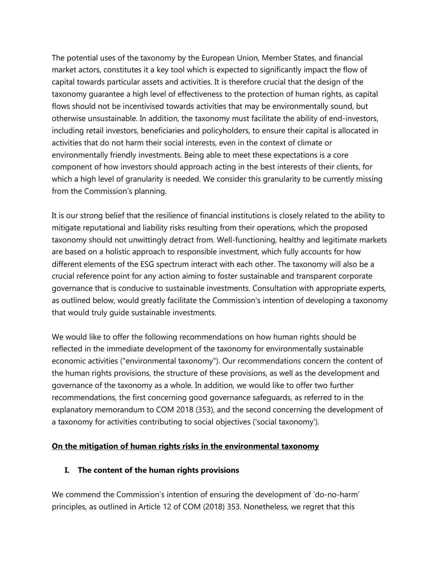The potential uses of the taxonomy by the European Union, Member States, and financial market actors, constitutes it a key tool which is expected to significantly impact the flow of capital towards particular assets and activities. It is therefore crucial that the design of the taxonomy guarantee a high level of effectiveness to the protection of human rights, as capital flows should not be incentivised towards activities that may be environmentally sound, but otherwise unsustainable. In addition, the taxonomy must facilitate the ability of end-investors, including retail investors, beneficiaries and policyholders, to ensure their capital is allocated in activities that do not harm their social interests, even in the context of climate or environmentally friendly investments. Being able to meet these expectations is a core component of how investors should approach acting in the best interests of their clients, for which a high level of granularity is needed. We consider this granularity to be currently missing from the Commission's planning.

It is our strong belief that the resilience of financial institutions is closely related to the ability to mitigate reputational and liability risks resulting from their operations, which the proposed taxonomy should not unwittingly detract from. Well-functioning, healthy and legitimate markets are based on a holistic approach to responsible investment, which fully accounts for how different elements of the ESG spectrum interact with each other. The taxonomy will also be a crucial reference point for any action aiming to foster sustainable and transparent corporate governance that is conducive to sustainable investments. Consultation with appropriate experts, as outlined below, would greatly facilitate the Commission's intention of developing a taxonomy that would truly guide sustainable investments.

We would like to offer the following recommendations on how human rights should be reflected in the immediate development of the taxonomy for environmentally sustainable economic activities ("environmental taxonomy"). Our recommendations concern the content of the human rights provisions, the structure of these provisions, as well as the development and governance of the taxonomy as a whole. In addition, we would like to offer two further recommendations, the first concerning good governance safeguards, as referred to in the explanatory memorandum to COM 2018 (353), and the second concerning the development of a taxonomy for activities contributing to social objectives ('social taxonomy').

#### **On the mitigation of human rights risks in the environmental taxonomy**

### **I. The content of the human rights provisions**

We commend the Commission's intention of ensuring the development of 'do-no-harm' principles, as outlined in Article 12 of COM (2018) 353. Nonetheless, we regret that this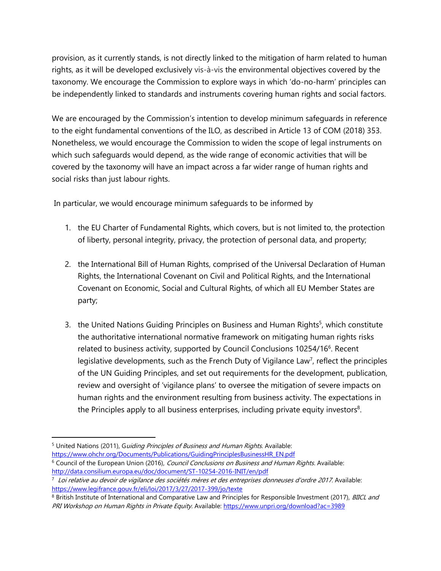provision, as it currently stands, is not directly linked to the mitigation of harm related to human rights, as it will be developed exclusively vis-à-vis the environmental objectives covered by the taxonomy. We encourage the Commission to explore ways in which 'do-no-harm' principles can be independently linked to standards and instruments covering human rights and social factors.

We are encouraged by the Commission's intention to develop minimum safeguards in reference to the eight fundamental conventions of the ILO, as described in Article 13 of COM (2018) 353. Nonetheless, we would encourage the Commission to widen the scope of legal instruments on which such safeguards would depend, as the wide range of economic activities that will be covered by the taxonomy will have an impact across a far wider range of human rights and social risks than just labour rights.

In particular, we would encourage minimum safeguards to be informed by

- 1. the EU Charter of Fundamental Rights, which covers, but is not limited to, the protection of liberty, personal integrity, privacy, the protection of personal data, and property;
- 2. the International Bill of Human Rights, comprised of the Universal Declaration of Human Rights, the International Covenant on Civil and Political Rights, and the International Covenant on Economic, Social and Cultural Rights, of which all EU Member States are party;
- 3. the United Nations Guiding Principles on Business and Human Rights<sup>5</sup>, which constitute the authoritative international normative framework on mitigating human rights risks related to business activity, supported by Council Conclusions 10254/16<sup>6</sup>. Recent legislative developments, such as the French Duty of Vigilance Law<sup>7</sup>, reflect the principles of the UN Guiding Principles, and set out requirements for the development, publication, review and oversight of 'vigilance plans' to oversee the mitigation of severe impacts on human rights and the environment resulting from business activity. The expectations in the Principles apply to all business enterprises, including private equity investors<sup>8</sup>.

<sup>5</sup> United Nations (2011), Guiding Principles of Business and Human Rights. Available: [https://www.ohchr.org/Documents/Publications/GuidingPrinciplesBusinessHR\\_EN.pdf](https://www.ohchr.org/Documents/Publications/GuidingPrinciplesBusinessHR_EN.pdf) <sup>6</sup> Council of the European Union (2016), Council Conclusions on Business and Human Rights. Available: <http://data.consilium.europa.eu/doc/document/ST-10254-2016-INIT/en/pdf>

 $\overline{a}$ 

<sup>&</sup>lt;sup>7</sup> Loi relative au devoir de vigilance des sociétés mères et des entreprises donneuses d'ordre 2017. Available: <https://www.legifrance.gouv.fr/eli/loi/2017/3/27/2017-399/jo/texte>

<sup>&</sup>lt;sup>8</sup> British Institute of International and Comparative Law and Principles for Responsible Investment (2017), *BIICL and* PRI Workshop on Human Rights in Private Equity. Available:<https://www.unpri.org/download?ac=3989>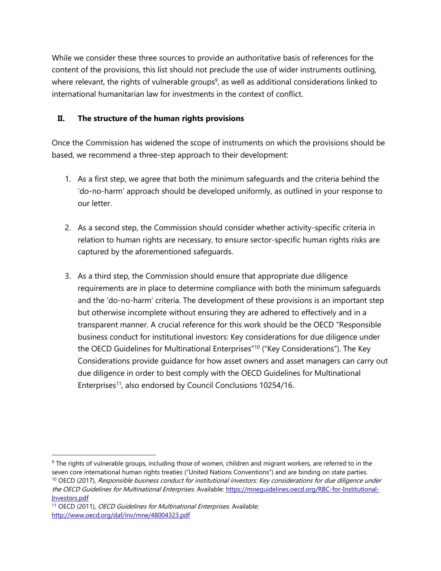While we consider these three sources to provide an authoritative basis of references for the content of the provisions, this list should not preclude the use of wider instruments outlining, where relevant, the rights of vulnerable groups<sup>9</sup>, as well as additional considerations linked to international humanitarian law for investments in the context of conflict.

## **II. The structure of the human rights provisions**

Once the Commission has widened the scope of instruments on which the provisions should be based, we recommend a three-step approach to their development:

- 1. As a first step, we agree that both the minimum safeguards and the criteria behind the 'do-no-harm' approach should be developed uniformly, as outlined in your response to our letter.
- 2. As a second step, the Commission should consider whether activity-specific criteria in relation to human rights are necessary, to ensure sector-specific human rights risks are captured by the aforementioned safeguards.
- 3. As a third step, the Commission should ensure that appropriate due diligence requirements are in place to determine compliance with both the minimum safeguards and the 'do-no-harm' criteria. The development of these provisions is an important step but otherwise incomplete without ensuring they are adhered to effectively and in a transparent manner. A crucial reference for this work should be the OECD "Responsible business conduct for institutional investors: Key considerations for due diligence under the OECD Guidelines for Multinational Enterprises"<sup>10</sup> ("Key Considerations"). The Key Considerations provide guidance for how asset owners and asset managers can carry out due diligence in order to best comply with the OECD Guidelines for Multinational Enterprises<sup>11</sup>, also endorsed by Council Conclusions 10254/16.

<sup>&</sup>lt;sup>9</sup> The rights of vulnerable groups, including those of women, children and migrant workers, are referred to in the seven core international human rights treaties ("United Nations Conventions") and are binding on state parties. <sup>10</sup> OECD (2017), Responsible business conduct for institutional investors: Key considerations for due diligence under the OECD Guidelines for Multinational Enterprises. Available: [https://mneguidelines.oecd.org/RBC-for-Institutional-](https://mneguidelines.oecd.org/RBC-for-Institutional-Investors.pdf)[Investors.pdf](https://mneguidelines.oecd.org/RBC-for-Institutional-Investors.pdf)

<sup>&</sup>lt;sup>11</sup> OECD (2011), *OECD Guidelines for Multinational Enterprises*. Available: <http://www.oecd.org/daf/inv/mne/48004323.pdf>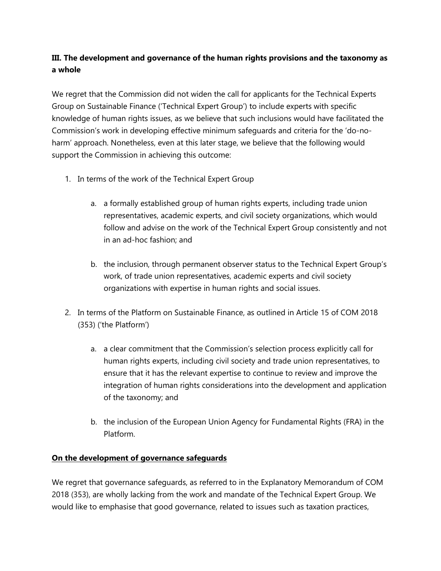# **III. The development and governance of the human rights provisions and the taxonomy as a whole**

We regret that the Commission did not widen the call for applicants for the Technical Experts Group on Sustainable Finance ('Technical Expert Group') to include experts with specific knowledge of human rights issues, as we believe that such inclusions would have facilitated the Commission's work in developing effective minimum safeguards and criteria for the 'do-noharm' approach. Nonetheless, even at this later stage, we believe that the following would support the Commission in achieving this outcome:

- 1. In terms of the work of the Technical Expert Group
	- a. a formally established group of human rights experts, including trade union representatives, academic experts, and civil society organizations, which would follow and advise on the work of the Technical Expert Group consistently and not in an ad-hoc fashion; and
	- b. the inclusion, through permanent observer status to the Technical Expert Group's work, of trade union representatives, academic experts and civil society organizations with expertise in human rights and social issues.
- 2. In terms of the Platform on Sustainable Finance, as outlined in Article 15 of COM 2018 (353) ('the Platform')
	- a. a clear commitment that the Commission's selection process explicitly call for human rights experts, including civil society and trade union representatives, to ensure that it has the relevant expertise to continue to review and improve the integration of human rights considerations into the development and application of the taxonomy; and
	- b. the inclusion of the European Union Agency for Fundamental Rights (FRA) in the Platform.

### **On the development of governance safeguards**

We regret that governance safeguards, as referred to in the Explanatory Memorandum of COM 2018 (353), are wholly lacking from the work and mandate of the Technical Expert Group. We would like to emphasise that good governance, related to issues such as taxation practices,